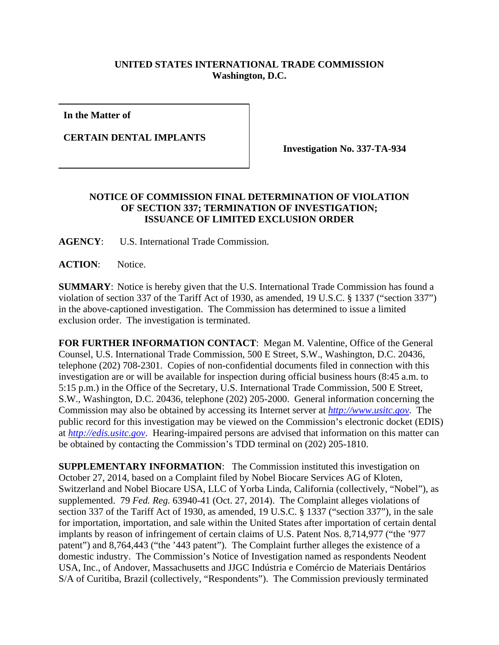## **UNITED STATES INTERNATIONAL TRADE COMMISSION Washington, D.C.**

**In the Matter of** 

**CERTAIN DENTAL IMPLANTS** 

**Investigation No. 337-TA-934** 

## **NOTICE OF COMMISSION FINAL DETERMINATION OF VIOLATION OF SECTION 337; TERMINATION OF INVESTIGATION; ISSUANCE OF LIMITED EXCLUSION ORDER**

**AGENCY**: U.S. International Trade Commission.

**ACTION**: Notice.

**SUMMARY**: Notice is hereby given that the U.S. International Trade Commission has found a violation of section 337 of the Tariff Act of 1930, as amended, 19 U.S.C. § 1337 ("section 337") in the above-captioned investigation. The Commission has determined to issue a limited exclusion order. The investigation is terminated.

**FOR FURTHER INFORMATION CONTACT**: Megan M. Valentine, Office of the General Counsel, U.S. International Trade Commission, 500 E Street, S.W., Washington, D.C. 20436, telephone (202) 708-2301. Copies of non-confidential documents filed in connection with this investigation are or will be available for inspection during official business hours (8:45 a.m. to 5:15 p.m.) in the Office of the Secretary, U.S. International Trade Commission, 500 E Street, S.W., Washington, D.C. 20436, telephone (202) 205-2000. General information concerning the Commission may also be obtained by accessing its Internet server at *http://www.usitc.gov*. The public record for this investigation may be viewed on the Commission's electronic docket (EDIS) at *http://edis.usitc.gov*. Hearing-impaired persons are advised that information on this matter can be obtained by contacting the Commission's TDD terminal on (202) 205-1810.

**SUPPLEMENTARY INFORMATION:** The Commission instituted this investigation on October 27, 2014, based on a Complaint filed by Nobel Biocare Services AG of Kloten, Switzerland and Nobel Biocare USA, LLC of Yorba Linda, California (collectively, "Nobel"), as supplemented. 79 *Fed. Reg.* 63940-41 (Oct. 27, 2014). The Complaint alleges violations of section 337 of the Tariff Act of 1930, as amended, 19 U.S.C. § 1337 ("section 337"), in the sale for importation, importation, and sale within the United States after importation of certain dental implants by reason of infringement of certain claims of U.S. Patent Nos. 8,714,977 ("the '977 patent") and 8,764,443 ("the '443 patent"). The Complaint further alleges the existence of a domestic industry. The Commission's Notice of Investigation named as respondents Neodent USA, Inc., of Andover, Massachusetts and JJGC Indústria e Comércio de Materiais Dentários S/A of Curitiba, Brazil (collectively, "Respondents"). The Commission previously terminated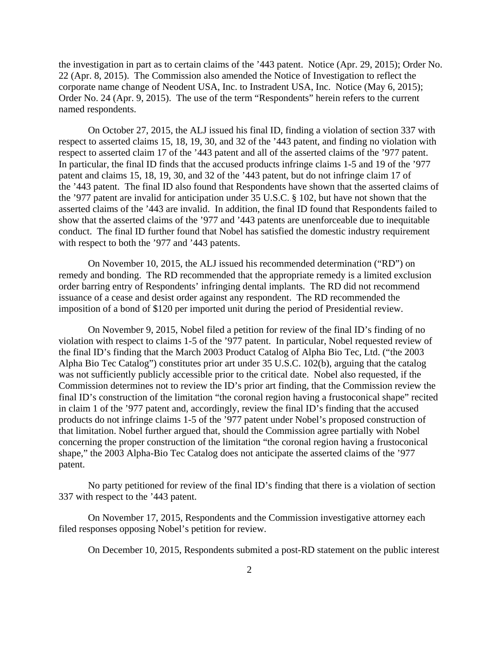the investigation in part as to certain claims of the '443 patent. Notice (Apr. 29, 2015); Order No. 22 (Apr. 8, 2015). The Commission also amended the Notice of Investigation to reflect the corporate name change of Neodent USA, Inc. to Instradent USA, Inc. Notice (May 6, 2015); Order No. 24 (Apr. 9, 2015). The use of the term "Respondents" herein refers to the current named respondents.

On October 27, 2015, the ALJ issued his final ID, finding a violation of section 337 with respect to asserted claims 15, 18, 19, 30, and 32 of the '443 patent, and finding no violation with respect to asserted claim 17 of the '443 patent and all of the asserted claims of the '977 patent. In particular, the final ID finds that the accused products infringe claims 1-5 and 19 of the '977 patent and claims 15, 18, 19, 30, and 32 of the '443 patent, but do not infringe claim 17 of the '443 patent. The final ID also found that Respondents have shown that the asserted claims of the '977 patent are invalid for anticipation under 35 U.S.C. § 102, but have not shown that the asserted claims of the '443 are invalid. In addition, the final ID found that Respondents failed to show that the asserted claims of the '977 and '443 patents are unenforceable due to inequitable conduct. The final ID further found that Nobel has satisfied the domestic industry requirement with respect to both the '977 and '443 patents.

On November 10, 2015, the ALJ issued his recommended determination ("RD") on remedy and bonding. The RD recommended that the appropriate remedy is a limited exclusion order barring entry of Respondents' infringing dental implants. The RD did not recommend issuance of a cease and desist order against any respondent. The RD recommended the imposition of a bond of \$120 per imported unit during the period of Presidential review.

On November 9, 2015, Nobel filed a petition for review of the final ID's finding of no violation with respect to claims 1-5 of the '977 patent.In particular, Nobel requested review of the final ID's finding that the March 2003 Product Catalog of Alpha Bio Tec, Ltd. ("the 2003 Alpha Bio Tec Catalog") constitutes prior art under 35 U.S.C. 102(b), arguing that the catalog was not sufficiently publicly accessible prior to the critical date. Nobel also requested, if the Commission determines not to review the ID's prior art finding, that the Commission review the final ID's construction of the limitation "the coronal region having a frustoconical shape" recited in claim 1 of the '977 patent and, accordingly, review the final ID's finding that the accused products do not infringe claims 1-5 of the '977 patent under Nobel's proposed construction of that limitation. Nobel further argued that, should the Commission agree partially with Nobel concerning the proper construction of the limitation "the coronal region having a frustoconical shape," the 2003 Alpha-Bio Tec Catalog does not anticipate the asserted claims of the '977 patent.

No party petitioned for review of the final ID's finding that there is a violation of section 337 with respect to the '443 patent.

On November 17, 2015, Respondents and the Commission investigative attorney each filed responses opposing Nobel's petition for review.

On December 10, 2015, Respondents submited a post-RD statement on the public interest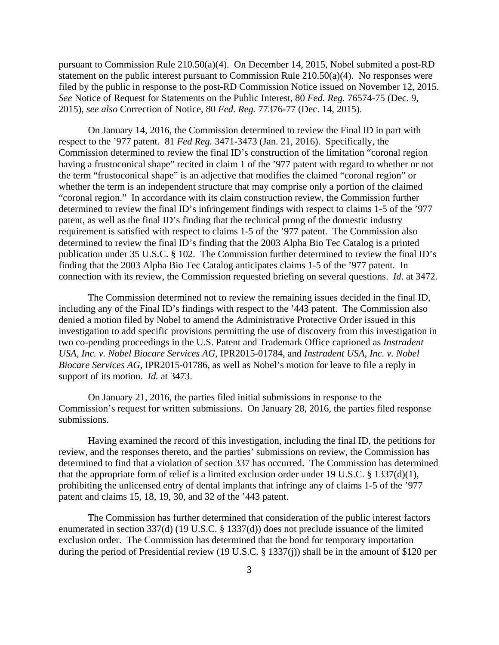pursuant to Commission Rule 210.50(a)(4). On December 14, 2015, Nobel submited a post-RD statement on the public interest pursuant to Commission Rule 210.50(a)(4). No responses were filed by the public in response to the post-RD Commission Notice issued on November 12, 2015. *See* Notice of Request for Statements on the Public Interest, 80 *Fed. Reg.* 76574-75 (Dec. 9, 2015), *see also* Correction of Notice, 80 *Fed. Reg.* 77376-77 (Dec. 14, 2015).

On January 14, 2016, the Commission determined to review the Final ID in part with respect to the '977 patent. 81 *Fed Reg.* 3471-3473 (Jan. 21, 2016). Specifically, the Commission determined to review the final ID's construction of the limitation "coronal region having a frustoconical shape" recited in claim 1 of the '977 patent with regard to whether or not the term "frustoconical shape" is an adjective that modifies the claimed "coronal region" or whether the term is an independent structure that may comprise only a portion of the claimed "coronal region." In accordance with its claim construction review, the Commission further determined to review the final ID's infringement findings with respect to claims 1-5 of the '977 patent, as well as the final ID's finding that the technical prong of the domestic industry requirement is satisfied with respect to claims 1-5 of the '977 patent. The Commission also determined to review the final ID's finding that the 2003 Alpha Bio Tec Catalog is a printed publication under 35 U.S.C. § 102. The Commission further determined to review the final ID's finding that the 2003 Alpha Bio Tec Catalog anticipates claims 1-5 of the '977 patent. In connection with its review, the Commission requested briefing on several questions. *Id*. at 3472.

The Commission determined not to review the remaining issues decided in the final ID, including any of the Final ID's findings with respect to the '443 patent. The Commission also denied a motion filed by Nobel to amend the Administrative Protective Order issued in this investigation to add specific provisions permitting the use of discovery from this investigation in two co-pending proceedings in the U.S. Patent and Trademark Office captioned as *Instradent USA, Inc. v. Nobel Biocare Services AG*, IPR2015-01784, and *Instradent USA, Inc. v. Nobel Biocare Services AG*, IPR2015-01786, as well as Nobel's motion for leave to file a reply in support of its motion. *Id.* at 3473.

On January 21, 2016, the parties filed initial submissions in response to the Commission's request for written submissions. On January 28, 2016, the parties filed response submissions.

Having examined the record of this investigation, including the final ID, the petitions for review, and the responses thereto, and the parties' submissions on review, the Commission has determined to find that a violation of section 337 has occurred. The Commission has determined that the appropriate form of relief is a limited exclusion order under 19 U.S.C. § 1337(d)(1), prohibiting the unlicensed entry of dental implants that infringe any of claims 1-5 of the '977 patent and claims 15, 18, 19, 30, and 32 of the '443 patent.

The Commission has further determined that consideration of the public interest factors enumerated in section 337(d) (19 U.S.C. § 1337(d)) does not preclude issuance of the limited exclusion order. The Commission has determined that the bond for temporary importation during the period of Presidential review (19 U.S.C. § 1337(j)) shall be in the amount of \$120 per